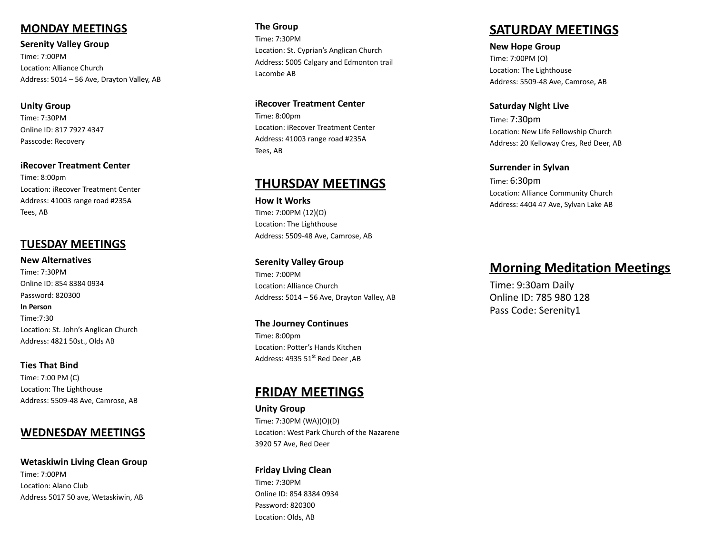### **MONDAY MEETINGS**

**Serenity Valley Group** Time: 7:00PM Loc ation: Alliance Church Address: 5014 - 56 Ave, Drayton Valley, AB

Unity Group Time: 7:30PM Online ID: 817 7927 4347 Passcode: Recovery

**iRecover Treatment Center** Time: 8:00pm Location: iRecover Treatment Center Address: 41003 range road #235A Tees, AB

### **TUESDAY MEETINGS**

**New Alternatives** Time: 7:30PM Online ID: 854 8384 0934 Password: 820300 **In Person** Time:7:30 Loc ation: St. John's Anglican Church Address: 4821 50st., Olds AB

**Ties That Bind** Time: 7:00 PM (C) Loc ation: The Lighthouse Address: 5509-48 A ve, Camrose, AB

### <u>MEDNESDAY MEETINGS</u>

Wetaskiwin Living Clean Group Time: 7:00PM Loc ation: Alano Club Address 5017 50 a ve, W e taskiwin, AB

**The Group** Time: 7:30PM Loc ation: St. Cyprian's Anglican Church Address: 5005 Calgary and Edmonton trail Lacombe AB

iRecover Treatment Center Time: 8:00pm Location: iRecover Treatment Center Address: 41003 range road #235A Tees, AB

## **THURSDAY MEETIN G S**

**How It Works** Time: 7:00PM (12)(O) Loc ation: The Lighthouse Address: 5509-48 A ve, Camrose, AB

**Serenity Valley Group** Time: 7:00PM Loc ation: Alliance Church Address: 5014 - 56 Ave, Drayton Valley, AB

**The Journey Continues** Time: 8:00pm Location: Potter's Hands Kitchen Address: 4935 51<sup>st</sup> Red Deer ,AB

## **F RID AY M E E TIN G S**

Unity Group Time: 7:30PM (WA)(O)(D) Loc ation: West Park Church of the Nazarene 3920 57 A ve, Red Deer

**Friday Living Clean** Time: 7:30PM Online ID: 854 8384 0934 Password: 820300 Loc ation: Olds, AB

## **S AT U R D AY M E E TIN G S**

**New Hope Group** Time: 7:00PM (O) Loc ation: The Lighthouse Address: 5509-48 A ve, Camrose, AB

**Saturday Night Live** Time: 7:3 0 p m Loc ation: New Life Fello wship Church Address: 20 Kello w ay Cres, Red Deer, AB

**Surrender in Sylvan** Time: 6:3 0 p m Loc ation: Alliance Community Church Address: 4404 47 A ve, Sylvan Lake AB

## **<u>Morning Meditation Meetings</u></u>**

Time: 9:30am Daily Online ID: 785 980 128 Pass Code: Serenity1